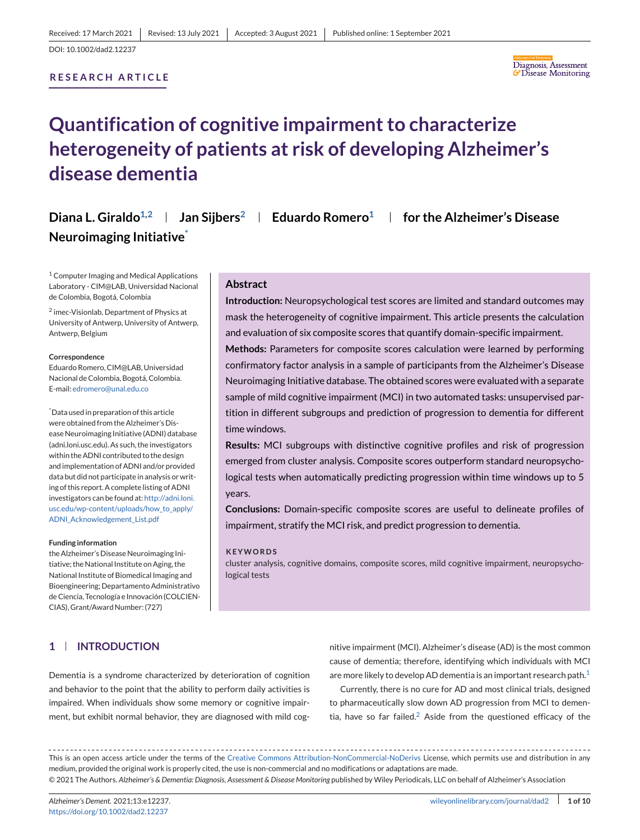## **RESEARCH ARTICLE**



# **Quantification of cognitive impairment to characterize heterogeneity of patients at risk of developing Alzheimer's disease dementia**

**Diana L. Giraldo1,2 Jan Sijbers2 Eduardo Romero1 for the Alzheimer's Disease Neuroimaging Initiative\***

<sup>1</sup> Computer Imaging and Medical Applications Laboratory - CIM@LAB, Universidad Nacional de Colombia, Bogotá, Colombia

<sup>2</sup> imec-Visionlab, Department of Physics at University of Antwerp, University of Antwerp, Antwerp, Belgium

#### **Correspondence**

Eduardo Romero, CIM@LAB, Universidad Nacional de Colombia, Bogotá, Colombia. E-mail: [edromero@unal.edu.co](mailto:edromero@unal.edu.co)

\* Data used in preparation of this article were obtained from the Alzheimer's Disease Neuroimaging Initiative (ADNI) database (adni.loni.usc.edu). As such, the investigators within the ADNI contributed to the design and implementation of ADNI and/or provided data but did not participate in analysis or writing of this report. A complete listing of ADNI investigators can be found at: [http://adni.loni.](http://adni.loni.usc.edu/wp-content/uploads/how_to_apply/ADNI_Acknowledgement_List.pdf) [usc.edu/wp-content/uploads/how\\_to\\_apply/](http://adni.loni.usc.edu/wp-content/uploads/how_to_apply/ADNI_Acknowledgement_List.pdf) [ADNI\\_Acknowledgement\\_List.pdf](http://adni.loni.usc.edu/wp-content/uploads/how_to_apply/ADNI_Acknowledgement_List.pdf)

#### **Funding information**

the Alzheimer's Disease Neuroimaging Initiative; the National Institute on Aging, the National Institute of Biomedical Imaging and Bioengineering; Departamento Administrativo de Ciencia, Tecnología e Innovación (COLCIEN-CIAS), Grant/Award Number: (727)

#### **Abstract**

**Introduction:** Neuropsychological test scores are limited and standard outcomes may mask the heterogeneity of cognitive impairment. This article presents the calculation and evaluation of six composite scores that quantify domain-specific impairment.

**Methods:** Parameters for composite scores calculation were learned by performing confirmatory factor analysis in a sample of participants from the Alzheimer's Disease Neuroimaging Initiative database. The obtained scores were evaluated with a separate sample of mild cognitive impairment (MCI) in two automated tasks: unsupervised partition in different subgroups and prediction of progression to dementia for different time windows.

**Results:** MCI subgroups with distinctive cognitive profiles and risk of progression emerged from cluster analysis. Composite scores outperform standard neuropsychological tests when automatically predicting progression within time windows up to 5 years.

**Conclusions:** Domain-specific composite scores are useful to delineate profiles of impairment, stratify the MCI risk, and predict progression to dementia.

#### **KEYWORDS**

cluster analysis, cognitive domains, composite scores, mild cognitive impairment, neuropsychological tests

# **1 INTRODUCTION**

Dementia is a syndrome characterized by deterioration of cognition and behavior to the point that the ability to perform daily activities is impaired. When individuals show some memory or cognitive impairment, but exhibit normal behavior, they are diagnosed with mild cognitive impairment (MCI). Alzheimer's disease (AD) is the most common cause of dementia; therefore, identifying which individuals with MCI are more likely to develop AD dementia is an important research path.<sup>[1](#page-8-0)</sup>

Currently, there is no cure for AD and most clinical trials, designed to pharmaceutically slow down AD progression from MCI to demen-tia, have so far failed.<sup>[2](#page-8-0)</sup> Aside from the questioned efficacy of the

This is an open access article under the terms of the [Creative Commons Attribution-NonCommercial-NoDerivs](http://creativecommons.org/licenses/by-nc-nd/4.0/) License, which permits use and distribution in any medium, provided the original work is properly cited, the use is non-commercial and no modifications or adaptations are made. © 2021 The Authors. *Alzheimer's & Dementia: Diagnosis, Assessment & Disease Monitoring* published by Wiley Periodicals, LLC on behalf of Alzheimer's Association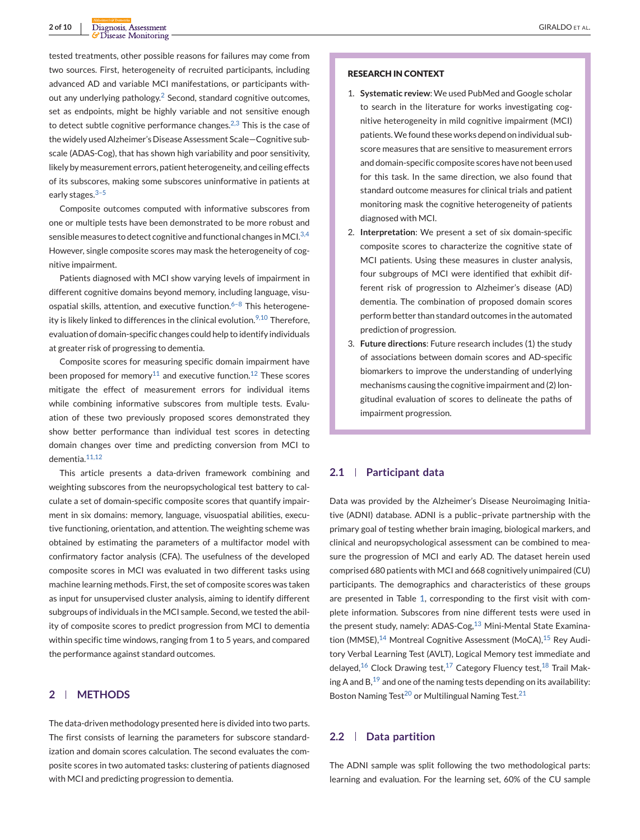tested treatments, other possible reasons for failures may come from two sources. First, heterogeneity of recruited participants, including advanced AD and variable MCI manifestations, or participants without any underlying pathology. $2$  Second, standard cognitive outcomes, set as endpoints, might be highly variable and not sensitive enough to detect subtle cognitive performance changes. $2,3$  This is the case of the widely used Alzheimer's Disease Assessment Scale—Cognitive subscale (ADAS-Cog), that has shown high variability and poor sensitivity, likely by measurement errors, patient heterogeneity, and ceiling effects of its subscores, making some subscores uninformative in patients at early stages. $3-5$ 

Composite outcomes computed with informative subscores from one or multiple tests have been demonstrated to be more robust and sensible measures to detect cognitive and functional changes in MCI. $^{3,4}$  $^{3,4}$  $^{3,4}$ However, single composite scores may mask the heterogeneity of cognitive impairment.

Patients diagnosed with MCI show varying levels of impairment in different cognitive domains beyond memory, including language, visuospatial skills, attention, and executive function. $6-8$  This heterogene-ity is likely linked to differences in the clinical evolution.<sup>[9,10](#page-8-0)</sup> Therefore, evaluation of domain-specific changes could help to identify individuals at greater risk of progressing to dementia.

Composite scores for measuring specific domain impairment have been proposed for memory<sup>[11](#page-8-0)</sup> and executive function.<sup>[12](#page-8-0)</sup> These scores mitigate the effect of measurement errors for individual items while combining informative subscores from multiple tests. Evaluation of these two previously proposed scores demonstrated they show better performance than individual test scores in detecting domain changes over time and predicting conversion from MCI to dementia.<sup>[11,12](#page-8-0)</sup>

This article presents a data-driven framework combining and weighting subscores from the neuropsychological test battery to calculate a set of domain-specific composite scores that quantify impairment in six domains: memory, language, visuospatial abilities, executive functioning, orientation, and attention. The weighting scheme was obtained by estimating the parameters of a multifactor model with confirmatory factor analysis (CFA). The usefulness of the developed composite scores in MCI was evaluated in two different tasks using machine learning methods. First, the set of composite scores was taken as input for unsupervised cluster analysis, aiming to identify different subgroups of individuals in the MCI sample. Second, we tested the ability of composite scores to predict progression from MCI to dementia within specific time windows, ranging from 1 to 5 years, and compared the performance against standard outcomes.

# **2 METHODS**

The data-driven methodology presented here is divided into two parts. The first consists of learning the parameters for subscore standardization and domain scores calculation. The second evaluates the composite scores in two automated tasks: clustering of patients diagnosed with MCI and predicting progression to dementia.

#### **RESEARCH IN CONTEXT**

- 1. **Systematic review**: We used PubMed and Google scholar to search in the literature for works investigating cognitive heterogeneity in mild cognitive impairment (MCI) patients.We found these works depend on individual subscore measures that are sensitive to measurement errors and domain-specific composite scores have not been used for this task. In the same direction, we also found that standard outcome measures for clinical trials and patient monitoring mask the cognitive heterogeneity of patients diagnosed with MCI.
- 2. **Interpretation**: We present a set of six domain-specific composite scores to characterize the cognitive state of MCI patients. Using these measures in cluster analysis, four subgroups of MCI were identified that exhibit different risk of progression to Alzheimer's disease (AD) dementia. The combination of proposed domain scores perform better than standard outcomes in the automated prediction of progression.
- 3. **Future directions**: Future research includes (1) the study of associations between domain scores and AD-specific biomarkers to improve the understanding of underlying mechanisms causing the cognitive impairment and (2) longitudinal evaluation of scores to delineate the paths of impairment progression.

# **2.1 Participant data**

Data was provided by the Alzheimer's Disease Neuroimaging Initiative (ADNI) database. ADNI is a public–private partnership with the primary goal of testing whether brain imaging, biological markers, and clinical and neuropsychological assessment can be combined to measure the progression of MCI and early AD. The dataset herein used comprised 680 patients with MCI and 668 cognitively unimpaired (CU) participants. The demographics and characteristics of these groups are presented in Table [1,](#page-2-0) corresponding to the first visit with complete information. Subscores from nine different tests were used in the present study, namely: ADAS-Cog,<sup>[13](#page-8-0)</sup> Mini-Mental State Examina-tion (MMSE),<sup>[14](#page-8-0)</sup> Montreal Cognitive Assessment (MoCA),<sup>[15](#page-8-0)</sup> Rey Auditory Verbal Learning Test (AVLT), Logical Memory test immediate and delayed,<sup>[16](#page-8-0)</sup> Clock Drawing test,<sup>[17](#page-8-0)</sup> Category Fluency test,<sup>[18](#page-8-0)</sup> Trail Making A and  $B$ ,<sup>[19](#page-8-0)</sup> and one of the naming tests depending on its availability: Boston Naming Test<sup>20</sup> or Multilingual Naming Test.<sup>[21](#page-8-0)</sup>

# **2.2 Data partition**

The ADNI sample was split following the two methodological parts: learning and evaluation. For the learning set, 60% of the CU sample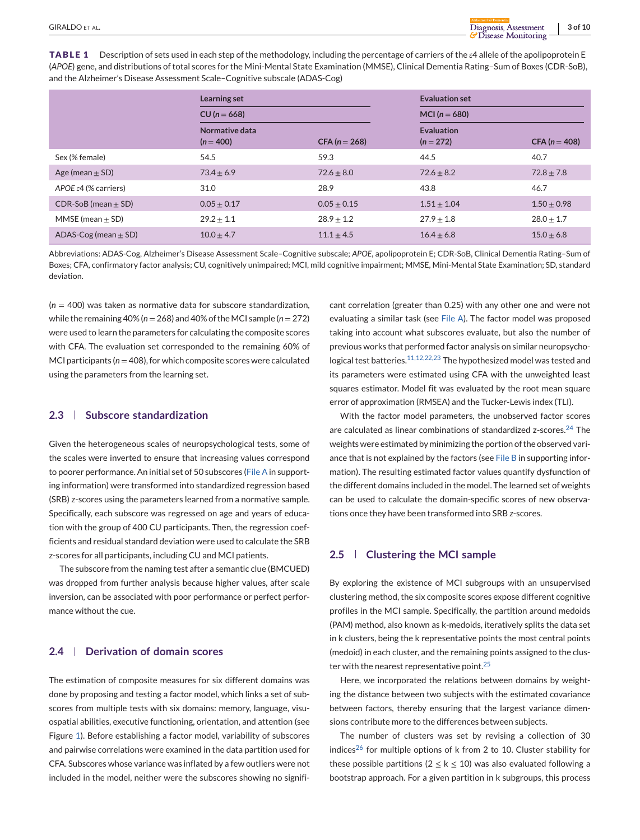<span id="page-2-0"></span>**TABLE 1** Description of sets used in each step of the methodology, including the percentage of carriers of the *ε*4 allele of the apolipoprotein E (*APOE*) gene, and distributions of total scores for the Mini-Mental State Examination (MMSE), Clinical Dementia Rating–Sum of Boxes (CDR-SoB), and the Alzheimer's Disease Assessment Scale–Cognitive subscale (ADAS-Cog)

|                                   | Learning set<br>$CU (n = 668)$ |                 | <b>Evaluation set</b><br>MCI ( $n = 680$ ) |                 |  |
|-----------------------------------|--------------------------------|-----------------|--------------------------------------------|-----------------|--|
|                                   |                                |                 |                                            |                 |  |
|                                   | Normative data<br>$(n = 400)$  | $CFA (n = 268)$ | <b>Evaluation</b><br>$(n = 272)$           | $CFA (n = 408)$ |  |
| Sex (% female)                    | 54.5                           | 59.3            | 44.5                                       | 40.7            |  |
| Age (mean $\pm$ SD)               | $73.4 \pm 6.9$                 | $72.6 \pm 8.0$  | $72.6 \pm 8.2$                             | $72.8 \pm 7.8$  |  |
| APOE $\varepsilon$ 4 (% carriers) | 31.0                           | 28.9            | 43.8                                       | 46.7            |  |
| $CDR-SoB$ (mean $\pm$ SD)         | $0.05 \pm 0.17$                | $0.05 \pm 0.15$ | $1.51 \pm 1.04$                            | $1.50 \pm 0.98$ |  |
| MMSE (mean $\pm$ SD)              | $29.2 \pm 1.1$                 | $28.9 \pm 1.2$  | $27.9 \pm 1.8$                             | $28.0 \pm 1.7$  |  |
| ADAS-Cog (mean $\pm$ SD)          | $10.0 + 4.7$                   | $11.1 + 4.5$    | $16.4 + 6.8$                               | $15.0 + 6.8$    |  |

Abbreviations: ADAS-Cog, Alzheimer's Disease Assessment Scale–Cognitive subscale; *APOE*, apolipoprotein E; CDR-SoB, Clinical Dementia Rating–Sum of Boxes; CFA, confirmatory factor analysis; CU, cognitively unimpaired; MCI, mild cognitive impairment; MMSE, Mini-Mental State Examination; SD, standard deviation.

(*n* = 400) was taken as normative data for subscore standardization, while the remaining 40% ( $n = 268$ ) and 40% of the MCI sample ( $n = 272$ ) were used to learn the parameters for calculating the composite scores with CFA. The evaluation set corresponded to the remaining 60% of MCI participants ( $n = 408$ ), for which composite scores were calculated using the parameters from the learning set.

# **2.3 Subscore standardization**

Given the heterogeneous scales of neuropsychological tests, some of the scales were inverted to ensure that increasing values correspond to poorer performance. An initial set of 50 subscores (File A in supporting information) were transformed into standardized regression based (SRB) z-scores using the parameters learned from a normative sample. Specifically, each subscore was regressed on age and years of education with the group of 400 CU participants. Then, the regression coefficients and residual standard deviation were used to calculate the SRB z-scores for all participants, including CU and MCI patients.

The subscore from the naming test after a semantic clue (BMCUED) was dropped from further analysis because higher values, after scale inversion, can be associated with poor performance or perfect performance without the cue.

# **2.4 Derivation of domain scores**

The estimation of composite measures for six different domains was done by proposing and testing a factor model, which links a set of subscores from multiple tests with six domains: memory, language, visuospatial abilities, executive functioning, orientation, and attention (see Figure [1\)](#page-3-0). Before establishing a factor model, variability of subscores and pairwise correlations were examined in the data partition used for CFA. Subscores whose variance was inflated by a few outliers were not included in the model, neither were the subscores showing no significant correlation (greater than 0.25) with any other one and were not evaluating a similar task (see File A). The factor model was proposed taking into account what subscores evaluate, but also the number of previous works that performed factor analysis on similar neuropsycho-logical test batteries.<sup>[11,12,22,23](#page-8-0)</sup> The hypothesized model was tested and its parameters were estimated using CFA with the unweighted least squares estimator. Model fit was evaluated by the root mean square error of approximation (RMSEA) and the Tucker-Lewis index (TLI).

With the factor model parameters, the unobserved factor scores are calculated as linear combinations of standardized z-scores.<sup>[24](#page-9-0)</sup> The weights were estimated by minimizing the portion of the observed variance that is not explained by the factors (see File B in supporting information). The resulting estimated factor values quantify dysfunction of the different domains included in the model. The learned set of weights can be used to calculate the domain-specific scores of new observations once they have been transformed into SRB *z*-scores.

# **2.5 Clustering the MCI sample**

By exploring the existence of MCI subgroups with an unsupervised clustering method, the six composite scores expose different cognitive profiles in the MCI sample. Specifically, the partition around medoids (PAM) method, also known as k-medoids, iteratively splits the data set in k clusters, being the k representative points the most central points (medoid) in each cluster, and the remaining points assigned to the cluster with the nearest representative point. $25$ 

Here, we incorporated the relations between domains by weighting the distance between two subjects with the estimated covariance between factors, thereby ensuring that the largest variance dimensions contribute more to the differences between subjects.

The number of clusters was set by revising a collection of 30 indices<sup>26</sup> for multiple options of k from 2 to 10. Cluster stability for these possible partitions ( $2 \le k \le 10$ ) was also evaluated following a bootstrap approach. For a given partition in k subgroups, this process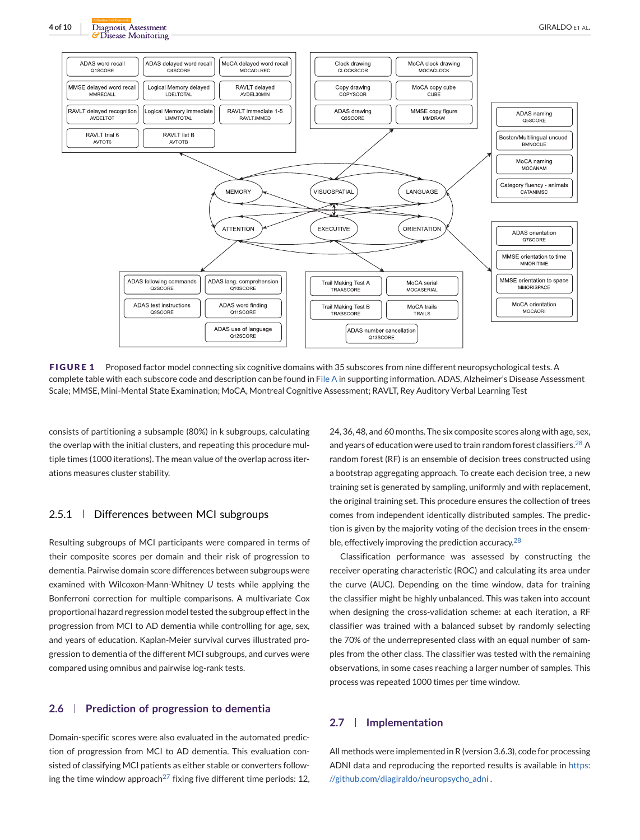<span id="page-3-0"></span>

**FIGURE 1** Proposed factor model connecting six cognitive domains with 35 subscores from nine different neuropsychological tests. A complete table with each subscore code and description can be found in File A in supporting information. ADAS, Alzheimer's Disease Assessment Scale; MMSE, Mini-Mental State Examination; MoCA, Montreal Cognitive Assessment; RAVLT, Rey Auditory Verbal Learning Test

consists of partitioning a subsample (80%) in k subgroups, calculating the overlap with the initial clusters, and repeating this procedure multiple times (1000 iterations). The mean value of the overlap across iterations measures cluster stability.

# 2.5.1 Differences between MCI subgroups

Resulting subgroups of MCI participants were compared in terms of their composite scores per domain and their risk of progression to dementia. Pairwise domain score differences between subgroups were examined with Wilcoxon-Mann-Whitney *U* tests while applying the Bonferroni correction for multiple comparisons. A multivariate Cox proportional hazard regression model tested the subgroup effect in the progression from MCI to AD dementia while controlling for age, sex, and years of education. Kaplan-Meier survival curves illustrated progression to dementia of the different MCI subgroups, and curves were compared using omnibus and pairwise log-rank tests.

## **2.6 Prediction of progression to dementia**

Domain-specific scores were also evaluated in the automated prediction of progression from MCI to AD dementia. This evaluation consisted of classifying MCI patients as either stable or converters follow-ing the time window approach<sup>[27](#page-9-0)</sup> fixing five different time periods: 12,

24, 36, 48, and 60 months. The six composite scores along with age, sex, and years of education were used to train random forest classifiers.<sup>[28](#page-9-0)</sup> A random forest (RF) is an ensemble of decision trees constructed using a bootstrap aggregating approach. To create each decision tree, a new training set is generated by sampling, uniformly and with replacement, the original training set. This procedure ensures the collection of trees comes from independent identically distributed samples. The prediction is given by the majority voting of the decision trees in the ensem-ble, effectively improving the prediction accuracy.<sup>[28](#page-9-0)</sup>

Classification performance was assessed by constructing the receiver operating characteristic (ROC) and calculating its area under the curve (AUC). Depending on the time window, data for training the classifier might be highly unbalanced. This was taken into account when designing the cross-validation scheme: at each iteration, a RF classifier was trained with a balanced subset by randomly selecting the 70% of the underrepresented class with an equal number of samples from the other class. The classifier was tested with the remaining observations, in some cases reaching a larger number of samples. This process was repeated 1000 times per time window.

# **2.7 Implementation**

All methods were implemented in R (version 3.6.3), code for processing ADNI data and reproducing the reported results is available in [https:](https://github.com/diagiraldo/neuropsycho_adni) [//github.com/diagiraldo/neuropsycho\\_adni](https://github.com/diagiraldo/neuropsycho_adni).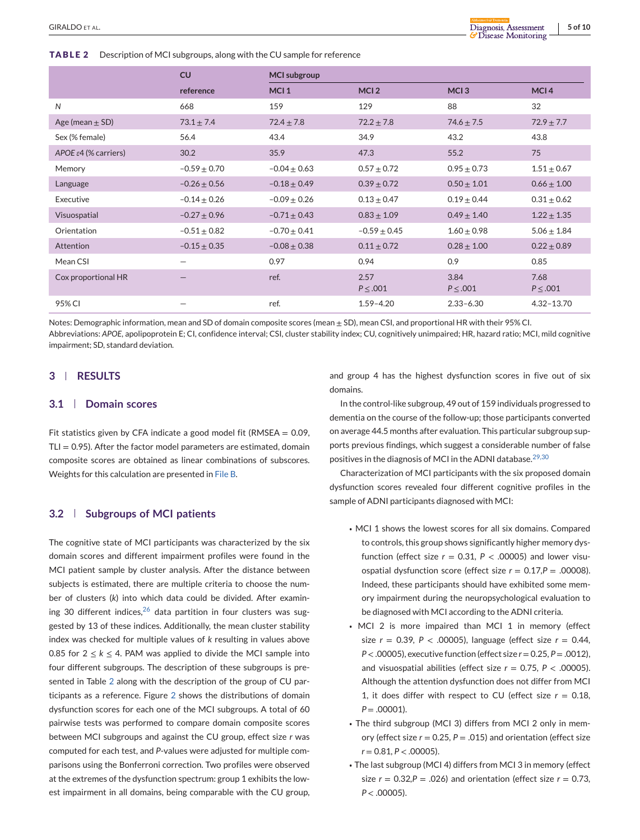## <span id="page-4-0"></span>**TABLE 2** Description of MCI subgroups, along with the CU sample for reference

|                                   | CU                              | <b>MCI</b> subgroup |                       |                       |                       |  |
|-----------------------------------|---------------------------------|---------------------|-----------------------|-----------------------|-----------------------|--|
|                                   | reference                       | MCI <sub>1</sub>    | MCI <sub>2</sub>      | MCI <sub>3</sub>      | MCI <sub>4</sub>      |  |
| N                                 | 668                             | 159                 | 129                   | 88                    | 32                    |  |
| Age (mean $\pm$ SD)               | $73.1 \pm 7.4$                  | $72.4 \pm 7.8$      | $72.2 \pm 7.8$        | $74.6 \pm 7.5$        | $72.9 \pm 7.7$        |  |
| Sex (% female)                    | 56.4                            | 43.4                | 34.9                  | 43.2                  | 43.8                  |  |
| APOE $\varepsilon$ 4 (% carriers) | 30.2                            | 35.9                | 47.3                  | 55.2                  | 75                    |  |
| Memory                            | $-0.59 \pm 0.70$                | $-0.04 + 0.63$      | $0.57 \pm 0.72$       | $0.95 \pm 0.73$       | $1.51 \pm 0.67$       |  |
| Language                          | $-0.26 + 0.56$                  | $-0.18 \pm 0.49$    | $0.39 + 0.72$         | $0.50 \pm 1.01$       | $0.66 \pm 1.00$       |  |
| Executive                         | $-0.14 \pm 0.26$                | $-0.09 \pm 0.26$    | $0.13 \pm 0.47$       | $0.19 \pm 0.44$       | $0.31 \pm 0.62$       |  |
| Visuospatial                      | $-0.27 \pm 0.96$                | $-0.71 \pm 0.43$    | $0.83 \pm 1.09$       | $0.49 \pm 1.40$       | $1.22 \pm 1.35$       |  |
| Orientation                       | $-0.51 \pm 0.82$                | $-0.70 \pm 0.41$    | $-0.59 \pm 0.45$      | $1.60 \pm 0.98$       | $5.06 \pm 1.84$       |  |
| Attention                         | $-0.15 \pm 0.35$                | $-0.08 \pm 0.38$    | $0.11 \pm 0.72$       | $0.28 \pm 1.00$       | $0.22 \pm 0.89$       |  |
| Mean CSI                          | $\overline{\phantom{0}}$        | 0.97                | 0.94                  | 0.9                   | 0.85                  |  |
| Cox proportional HR               | $\hspace{0.1mm}-\hspace{0.1mm}$ | ref.                | 2.57<br>$P \leq .001$ | 3.84<br>$P \leq .001$ | 7.68<br>$P \leq .001$ |  |
| 95% CI                            | $\overline{\phantom{0}}$        | ref.                | $1.59 - 4.20$         | $2.33 - 6.30$         | $4.32 - 13.70$        |  |

Notes: Demographic information, mean and SD of domain composite scores (mean ± SD), mean CSI, and proportional HR with their 95% CI. Abbreviations: *APOE*, apolipoprotein E; CI, confidence interval; CSI, cluster stability index; CU, cognitively unimpaired; HR, hazard ratio; MCI, mild cognitive impairment; SD, standard deviation.

# **3 RESULTS**

# **3.1 Domain scores**

Fit statistics given by CFA indicate a good model fit (RMSEA  $= 0.09$ ,  $TLI = 0.95$ ). After the factor model parameters are estimated, domain composite scores are obtained as linear combinations of subscores. Weights for this calculation are presented in File B.

## **3.2 Subgroups of MCI patients**

The cognitive state of MCI participants was characterized by the six domain scores and different impairment profiles were found in the MCI patient sample by cluster analysis. After the distance between subjects is estimated, there are multiple criteria to choose the number of clusters (*k*) into which data could be divided. After examining 30 different indices,  $26$  data partition in four clusters was suggested by 13 of these indices. Additionally, the mean cluster stability index was checked for multiple values of *k* resulting in values above 0.85 for  $2 \le k \le 4$ . PAM was applied to divide the MCI sample into four different subgroups. The description of these subgroups is presented in Table 2 along with the description of the group of CU participants as a reference. Figure [2](#page-5-0) shows the distributions of domain dysfunction scores for each one of the MCI subgroups. A total of 60 pairwise tests was performed to compare domain composite scores between MCI subgroups and against the CU group, effect size *r* was computed for each test, and *P*-values were adjusted for multiple comparisons using the Bonferroni correction. Two profiles were observed at the extremes of the dysfunction spectrum: group 1 exhibits the lowest impairment in all domains, being comparable with the CU group,

and group 4 has the highest dysfunction scores in five out of six domains.

In the control-like subgroup, 49 out of 159 individuals progressed to dementia on the course of the follow-up; those participants converted on average 44.5 months after evaluation. This particular subgroup supports previous findings, which suggest a considerable number of false positives in the diagnosis of MCI in the ADNI database.[29,30](#page-9-0)

Characterization of MCI participants with the six proposed domain dysfunction scores revealed four different cognitive profiles in the sample of ADNI participants diagnosed with MCI:

- MCI 1 shows the lowest scores for all six domains. Compared to controls, this group shows significantly higher memory dysfunction (effect size  $r = 0.31$ ,  $P < .00005$ ) and lower visuospatial dysfunction score (effect size *r* = 0.17*,P* = .00008). Indeed, these participants should have exhibited some memory impairment during the neuropsychological evaluation to be diagnosed with MCI according to the ADNI criteria.
- MCI 2 is more impaired than MCI 1 in memory (effect size *r* = 0.39*, P* < .00005), language (effect size *r* = 0.44*, P* < .00005), executive function (effect size *r* = 0.25*, P* = .0012), and visuospatial abilities (effect size *r* = 0.75*, P* < .00005). Although the attention dysfunction does not differ from MCI 1, it does differ with respect to CU (effect size  $r = 0.18$ ,  $P = .00001$ ).
- The third subgroup (MCI 3) differs from MCI 2 only in memory (effect size  $r = 0.25$ ,  $P = .015$ ) and orientation (effect size *r* = 0.81*, P* < .00005).
- The last subgroup (MCI 4) differs from MCI 3 in memory (effect size *r* = 0.32*,P* = .026) and orientation (effect size *r* = 0.73*, P* < .00005).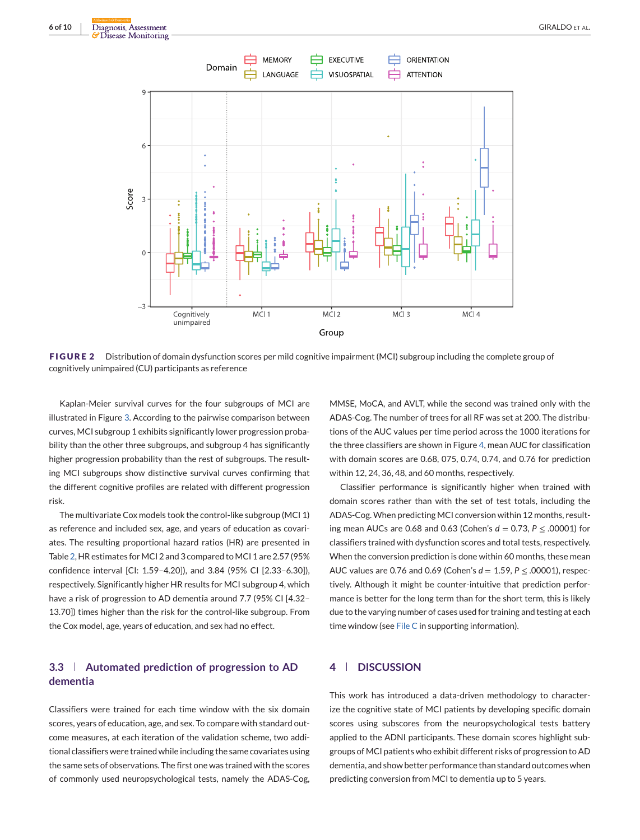<span id="page-5-0"></span>

**FIGURE 2** Distribution of domain dysfunction scores per mild cognitive impairment (MCI) subgroup including the complete group of cognitively unimpaired (CU) participants as reference

Kaplan-Meier survival curves for the four subgroups of MCI are illustrated in Figure [3.](#page-6-0) According to the pairwise comparison between curves, MCI subgroup 1 exhibits significantly lower progression probability than the other three subgroups, and subgroup 4 has significantly higher progression probability than the rest of subgroups. The resulting MCI subgroups show distinctive survival curves confirming that the different cognitive profiles are related with different progression risk.

The multivariate Cox models took the control-like subgroup (MCI 1) as reference and included sex, age, and years of education as covariates. The resulting proportional hazard ratios (HR) are presented in Table [2,](#page-4-0) HR estimates for MCI 2 and 3 compared to MCI 1 are 2.57 (95% confidence interval [CI: 1.59–4.20]), and 3.84 (95% CI [2.33–6.30]), respectively. Significantly higher HR results for MCI subgroup 4, which have a risk of progression to AD dementia around 7.7 (95% CI [4.32– 13.70]) times higher than the risk for the control-like subgroup. From the Cox model, age, years of education, and sex had no effect.

# **3.3 Automated prediction of progression to AD dementia**

Classifiers were trained for each time window with the six domain scores, years of education, age, and sex. To compare with standard outcome measures, at each iteration of the validation scheme, two additional classifiers were trained while including the same covariates using the same sets of observations. The first one was trained with the scores of commonly used neuropsychological tests, namely the ADAS-Cog,

MMSE, MoCA, and AVLT, while the second was trained only with the ADAS-Cog. The number of trees for all RF was set at 200. The distributions of the AUC values per time period across the 1000 iterations for the three classifiers are shown in Figure [4,](#page-6-0) mean AUC for classification with domain scores are 0.68, 075, 0.74, 0.74, and 0.76 for prediction within 12, 24, 36, 48, and 60 months, respectively.

Classifier performance is significantly higher when trained with domain scores rather than with the set of test totals, including the ADAS-Cog. When predicting MCI conversion within 12 months, resulting mean AUCs are 0.68 and 0.63 (Cohen's *d* = 0.73, *P* ≤ .00001) for classifiers trained with dysfunction scores and total tests, respectively. When the conversion prediction is done within 60 months, these mean AUC values are 0.76 and 0.69 (Cohen's *d* = 1.59, *P* ≤ .00001), respectively. Although it might be counter-intuitive that prediction performance is better for the long term than for the short term, this is likely due to the varying number of cases used for training and testing at each time window (see File C in supporting information).

# **4 DISCUSSION**

This work has introduced a data-driven methodology to characterize the cognitive state of MCI patients by developing specific domain scores using subscores from the neuropsychological tests battery applied to the ADNI participants. These domain scores highlight subgroups of MCI patients who exhibit different risks of progression to AD dementia, and show better performance than standard outcomes when predicting conversion from MCI to dementia up to 5 years.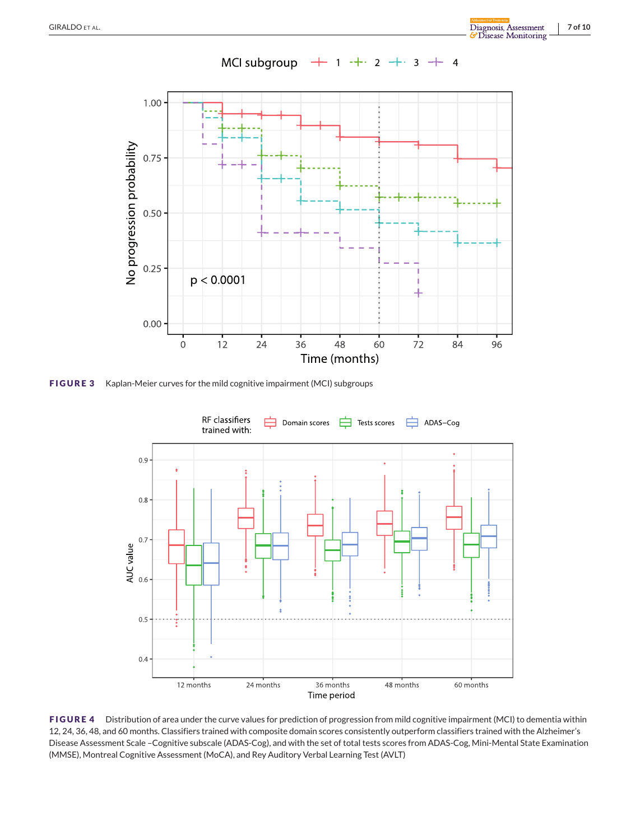<span id="page-6-0"></span>

**FIGURE 3** Kaplan-Meier curves for the mild cognitive impairment (MCI) subgroups



**FIGURE 4** Distribution of area under the curve values for prediction of progression from mild cognitive impairment (MCI) to dementia within 12, 24, 36, 48, and 60 months. Classifiers trained with composite domain scores consistently outperform classifiers trained with the Alzheimer's Disease Assessment Scale –Cognitive subscale (ADAS-Cog), and with the set of total tests scores from ADAS-Cog, Mini-Mental State Examination (MMSE), Montreal Cognitive Assessment (MoCA), and Rey Auditory Verbal Learning Test (AVLT)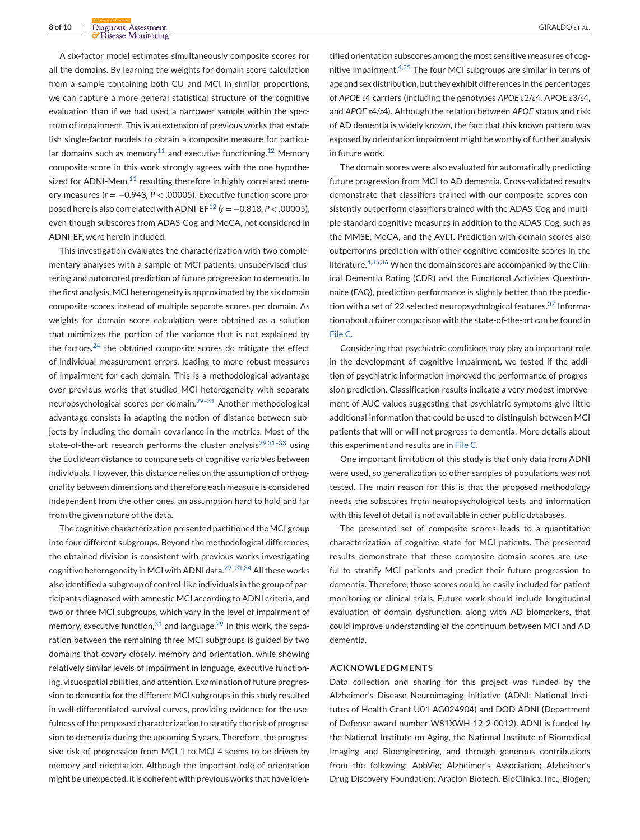A six-factor model estimates simultaneously composite scores for all the domains. By learning the weights for domain score calculation from a sample containing both CU and MCI in similar proportions, we can capture a more general statistical structure of the cognitive evaluation than if we had used a narrower sample within the spectrum of impairment. This is an extension of previous works that establish single-factor models to obtain a composite measure for particu-lar domains such as memory<sup>[11](#page-8-0)</sup> and executive functioning.<sup>[12](#page-8-0)</sup> Memory composite score in this work strongly agrees with the one hypothesized for ADNI-Mem, $^{11}$  $^{11}$  $^{11}$  resulting therefore in highly correlated memory measures (*r* = −0.943*, P* < .00005). Executive function score pro-posed here is also correlated with ADNI-EF<sup>[12](#page-8-0)</sup> ( $r = -0.818, P < .00005$ ), even though subscores from ADAS-Cog and MoCA, not considered in ADNI-EF, were herein included.

This investigation evaluates the characterization with two complementary analyses with a sample of MCI patients: unsupervised clustering and automated prediction of future progression to dementia. In the first analysis, MCI heterogeneity is approximated by the six domain composite scores instead of multiple separate scores per domain. As weights for domain score calculation were obtained as a solution that minimizes the portion of the variance that is not explained by the factors, $24$  the obtained composite scores do mitigate the effect of individual measurement errors, leading to more robust measures of impairment for each domain. This is a methodological advantage over previous works that studied MCI heterogeneity with separate neuropsychological scores per domain.<sup>29-31</sup> Another methodological advantage consists in adapting the notion of distance between subjects by including the domain covariance in the metrics. Most of the state-of-the-art research performs the cluster analysis<sup>29,31-33</sup> using the Euclidean distance to compare sets of cognitive variables between individuals. However, this distance relies on the assumption of orthogonality between dimensions and therefore each measure is considered independent from the other ones, an assumption hard to hold and far from the given nature of the data.

The cognitive characterization presented partitioned the MCI group into four different subgroups. Beyond the methodological differences, the obtained division is consistent with previous works investigating cognitive heterogeneity in MCI with ADNI data.<sup>29-31,34</sup> All these works also identified a subgroup of control-like individuals in the group of participants diagnosed with amnestic MCI according to ADNI criteria, and two or three MCI subgroups, which vary in the level of impairment of memory, executive function,  $31$  and language.  $29$  In this work, the separation between the remaining three MCI subgroups is guided by two domains that covary closely, memory and orientation, while showing relatively similar levels of impairment in language, executive functioning, visuospatial abilities, and attention. Examination of future progression to dementia for the different MCI subgroups in this study resulted in well-differentiated survival curves, providing evidence for the usefulness of the proposed characterization to stratify the risk of progression to dementia during the upcoming 5 years. Therefore, the progressive risk of progression from MCI 1 to MCI 4 seems to be driven by memory and orientation. Although the important role of orientation might be unexpected, it is coherent with previous works that have iden-

tified orientation subscores among the most sensitive measures of cognitive impairment.[4,35](#page-8-0) The four MCI subgroups are similar in terms of age and sex distribution, but they exhibit differences in the percentages of *APOE ε*4 carriers (including the genotypes *APOE ε*2/*ε*4, APOE *ε*3/*ε*4, and *APOE ε*4/*ε*4). Although the relation between *APOE* status and risk of AD dementia is widely known, the fact that this known pattern was exposed by orientation impairment might be worthy of further analysis in future work.

The domain scores were also evaluated for automatically predicting future progression from MCI to AD dementia. Cross-validated results demonstrate that classifiers trained with our composite scores consistently outperform classifiers trained with the ADAS-Cog and multiple standard cognitive measures in addition to the ADAS-Cog, such as the MMSE, MoCA, and the AVLT. Prediction with domain scores also outperforms prediction with other cognitive composite scores in the literature.[4,35,36](#page-8-0) When the domain scores are accompanied by the Clinical Dementia Rating (CDR) and the Functional Activities Questionnaire (FAQ), prediction performance is slightly better than the prediction with a set of 22 selected neuropsychological features. $37$  Information about a fairer comparison with the state-of-the-art can be found in File C.

Considering that psychiatric conditions may play an important role in the development of cognitive impairment, we tested if the addition of psychiatric information improved the performance of progression prediction. Classification results indicate a very modest improvement of AUC values suggesting that psychiatric symptoms give little additional information that could be used to distinguish between MCI patients that will or will not progress to dementia. More details about this experiment and results are in File C.

One important limitation of this study is that only data from ADNI were used, so generalization to other samples of populations was not tested. The main reason for this is that the proposed methodology needs the subscores from neuropsychological tests and information with this level of detail is not available in other public databases.

The presented set of composite scores leads to a quantitative characterization of cognitive state for MCI patients. The presented results demonstrate that these composite domain scores are useful to stratify MCI patients and predict their future progression to dementia. Therefore, those scores could be easily included for patient monitoring or clinical trials. Future work should include longitudinal evaluation of domain dysfunction, along with AD biomarkers, that could improve understanding of the continuum between MCI and AD dementia.

## **ACKNOWLEDGMENTS**

Data collection and sharing for this project was funded by the Alzheimer's Disease Neuroimaging Initiative (ADNI; National Institutes of Health Grant U01 AG024904) and DOD ADNI (Department of Defense award number W81XWH-12-2-0012). ADNI is funded by the National Institute on Aging, the National Institute of Biomedical Imaging and Bioengineering, and through generous contributions from the following: AbbVie; Alzheimer's Association; Alzheimer's Drug Discovery Foundation; Araclon Biotech; BioClinica, Inc.; Biogen;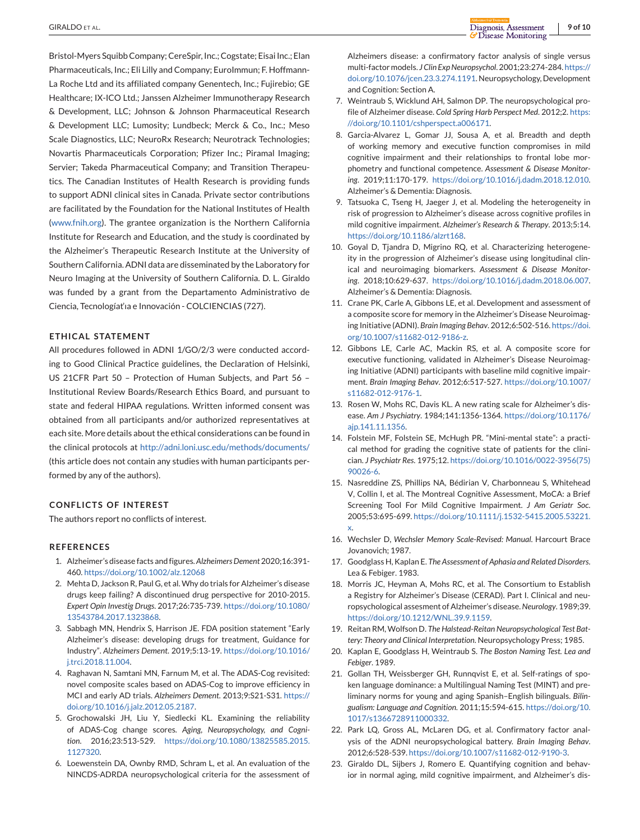<span id="page-8-0"></span>Bristol-Myers Squibb Company; CereSpir, Inc.; Cogstate; Eisai Inc.; Elan Pharmaceuticals, Inc.; Eli Lilly and Company; EuroImmun; F. Hoffmann-La Roche Ltd and its affiliated company Genentech, Inc.; Fujirebio; GE Healthcare; IX-ICO Ltd.; Janssen Alzheimer Immunotherapy Research & Development, LLC; Johnson & Johnson Pharmaceutical Research & Development LLC; Lumosity; Lundbeck; Merck & Co., Inc.; Meso Scale Diagnostics, LLC; NeuroRx Research; Neurotrack Technologies; Novartis Pharmaceuticals Corporation; Pfizer Inc.; Piramal Imaging; Servier; Takeda Pharmaceutical Company; and Transition Therapeutics. The Canadian Institutes of Health Research is providing funds to support ADNI clinical sites in Canada. Private sector contributions are facilitated by the Foundation for the National Institutes of Health [\(www.fnih.org\)](http://www.fnih.org). The grantee organization is the Northern California Institute for Research and Education, and the study is coordinated by the Alzheimer's Therapeutic Research Institute at the University of Southern California. ADNI data are disseminated by the Laboratory for Neuro Imaging at the University of Southern California. D. L. Giraldo was funded by a grant from the Departamento Administrativo de Ciencia, Tecnologíat'ıa e Innovación - COLCIENCIAS (727).

## **ETHICAL STATEMENT**

All procedures followed in ADNI 1/GO/2/3 were conducted according to Good Clinical Practice guidelines, the Declaration of Helsinki, US 21CFR Part 50 – Protection of Human Subjects, and Part 56 – Institutional Review Boards/Research Ethics Board, and pursuant to state and federal HIPAA regulations. Written informed consent was obtained from all participants and/or authorized representatives at each site. More details about the ethical considerations can be found in the clinical protocols at <http://adni.loni.usc.edu/methods/documents/> (this article does not contain any studies with human participants performed by any of the authors).

# **CONFLICTS OF INTEREST**

The authors report no conflicts of interest.

#### **REFERENCES**

- 1. Alzheimer's disease facts and figures.*Alzheimers Dement* 2020;16:391- 460. <https://doi.org/10.1002/alz.12068>
- 2. Mehta D, Jackson R, Paul G, et al. Why do trials for Alzheimer's disease drugs keep failing? A discontinued drug perspective for 2010-2015. *Expert Opin Investig Drugs*. 2017;26:735-739. [https://doi.org/10.1080/](https://doi.org/10.1080/13543784.2017.1323868) [13543784.2017.1323868.](https://doi.org/10.1080/13543784.2017.1323868)
- 3. Sabbagh MN, Hendrix S, Harrison JE. FDA position statement "Early Alzheimer's disease: developing drugs for treatment, Guidance for Industry". *Alzheimers Dement*. 2019;5:13-19. [https://doi.org/10.1016/](https://doi.org/10.1016/j.trci.2018.11.004) [j.trci.2018.11.004.](https://doi.org/10.1016/j.trci.2018.11.004)
- 4. Raghavan N, Samtani MN, Farnum M, et al. The ADAS-Cog revisited: novel composite scales based on ADAS-Cog to improve efficiency in MCI and early AD trials. *Alzheimers Dement*. 2013;9:S21-S31. [https://](https://doi.org/10.1016/j.jalz.2012.05.2187) [doi.org/10.1016/j.jalz.2012.05.2187.](https://doi.org/10.1016/j.jalz.2012.05.2187)
- 5. Grochowalski JH, Liu Y, Siedlecki KL. Examining the reliability of ADAS-Cog change scores. *Aging, Neuropsychology, and Cognition*. 2016;23:513-529. [https://doi.org/10.1080/13825585.2015.](https://doi.org/10.1080/13825585.2015.1127320) [1127320.](https://doi.org/10.1080/13825585.2015.1127320)
- 6. Loewenstein DA, Ownby RMD, Schram L, et al. An evaluation of the NINCDS-ADRDA neuropsychological criteria for the assessment of

Alzheimers disease: a confirmatory factor analysis of single versus multi-factor models. *J Clin Exp Neuropsychol*. 2001;23:274-284. [https://](https://doi.org/10.1076/jcen.23.3.274.1191) [doi.org/10.1076/jcen.23.3.274.1191.](https://doi.org/10.1076/jcen.23.3.274.1191) Neuropsychology, Development and Cognition: Section A.

- 7. Weintraub S, Wicklund AH, Salmon DP. The neuropsychological profile of Alzheimer disease. *Cold Spring Harb Perspect Med*. 2012;2. [https:](https://doi.org/10.1101/cshperspect.a006171) [//doi.org/10.1101/cshperspect.a006171.](https://doi.org/10.1101/cshperspect.a006171)
- 8. Garcia-Alvarez L, Gomar JJ, Sousa A, et al. Breadth and depth of working memory and executive function compromises in mild cognitive impairment and their relationships to frontal lobe morphometry and functional competence. *Assessment & Disease Monitoring*. 2019;11:170-179. [https://doi.org/10.1016/j.dadm.2018.12.010.](https://doi.org/10.1016/j.dadm.2018.12.010) Alzheimer's & Dementia: Diagnosis.
- 9. Tatsuoka C, Tseng H, Jaeger J, et al. Modeling the heterogeneity in risk of progression to Alzheimer's disease across cognitive profiles in mild cognitive impairment. *Alzheimer's Research & Therapy*. 2013;5:14. [https://doi.org/10.1186/alzrt168.](https://doi.org/10.1186/alzrt168)
- 10. Goyal D, Tjandra D, Migrino RQ, et al. Characterizing heterogeneity in the progression of Alzheimer's disease using longitudinal clinical and neuroimaging biomarkers. *Assessment & Disease Monitoring*. 2018;10:629-637. [https://doi.org/10.1016/j.dadm.2018.06.007.](https://doi.org/10.1016/j.dadm.2018.06.007) Alzheimer's & Dementia: Diagnosis.
- 11. Crane PK, Carle A, Gibbons LE, et al. Development and assessment of a composite score for memory in the Alzheimer's Disease Neuroimaging Initiative (ADNI). *Brain Imaging Behav*. 2012;6:502-516. [https://doi.](https://doi.org/10.1007/s11682-012-9186-z) [org/10.1007/s11682-012-9186-z.](https://doi.org/10.1007/s11682-012-9186-z)
- 12. Gibbons LE, Carle AC, Mackin RS, et al. A composite score for executive functioning, validated in Alzheimer's Disease Neuroimaging Initiative (ADNI) participants with baseline mild cognitive impairment. *Brain Imaging Behav*. 2012;6:517-527. [https://doi.org/10.1007/](https://doi.org/10.1007/s11682-012-9176-1) [s11682-012-9176-1.](https://doi.org/10.1007/s11682-012-9176-1)
- 13. Rosen W, Mohs RC, Davis KL. A new rating scale for Alzheimer's disease. *Am J Psychiatry*. 1984;141:1356-1364. [https://doi.org/10.1176/](https://doi.org/10.1176/ajp.141.11.1356) [ajp.141.11.1356.](https://doi.org/10.1176/ajp.141.11.1356)
- 14. Folstein MF, Folstein SE, McHugh PR. "Mini-mental state": a practical method for grading the cognitive state of patients for the clinician. *J Psychiatr Res*. 1975;12. [https://doi.org/10.1016/0022-3956\(75\)](https://doi.org/10.1016/0022-3956(75)90026-6) [90026-6.](https://doi.org/10.1016/0022-3956(75)90026-6)
- 15. Nasreddine ZS, Phillips NA, Bédirian V, Charbonneau S, Whitehead V, Collin I, et al. The Montreal Cognitive Assessment, MoCA: a Brief Screening Tool For Mild Cognitive Impairment. *J Am Geriatr Soc*. 2005;53:695-699. [https://doi.org/10.1111/j.1532-5415.2005.53221.](https://doi.org/10.1111/j.1532-5415.2005.53221.x) [x.](https://doi.org/10.1111/j.1532-5415.2005.53221.x)
- 16. Wechsler D, *Wechsler Memory Scale-Revised: Manual*. Harcourt Brace Jovanovich; 1987.
- 17. Goodglass H, Kaplan E. *The Assessment of Aphasia and Related Disorders*. Lea & Febiger. 1983.
- 18. Morris JC, Heyman A, Mohs RC, et al. The Consortium to Establish a Registry for Alzheimer's Disease (CERAD). Part I. Clinical and neuropsychological assesment of Alzheimer's disease.*Neurology*. 1989;39. [https://doi.org/10.1212/WNL.39.9.1159.](https://doi.org/10.1212/WNL.39.9.1159)
- 19. Reitan RM, Wolfson D. *The Halstead-Reitan Neuropsychological Test Battery: Theory and Clinical Interpretation*. Neuropsychology Press; 1985.
- 20. Kaplan E, Goodglass H, Weintraub S. *The Boston Naming Test. Lea and Febiger*. 1989.
- 21. Gollan TH, Weissberger GH, Runnqvist E, et al. Self-ratings of spoken language dominance: a Multilingual Naming Test (MINT) and preliminary norms for young and aging Spanish–English bilinguals. *Bilingualism: Language and Cognition*. 2011;15:594-615. [https://doi.org/10.](https://doi.org/10.1017/s1366728911000332) [1017/s1366728911000332.](https://doi.org/10.1017/s1366728911000332)
- 22. Park LQ, Gross AL, McLaren DG, et al. Confirmatory factor analysis of the ADNI neuropsychological battery. *Brain Imaging Behav*. 2012;6:528-539. [https://doi.org/10.1007/s11682-012-9190-3.](https://doi.org/10.1007/s11682-012-9190-3)
- 23. Giraldo DL, Sijbers J, Romero E. Quantifying cognition and behavior in normal aging, mild cognitive impairment, and Alzheimer's dis-